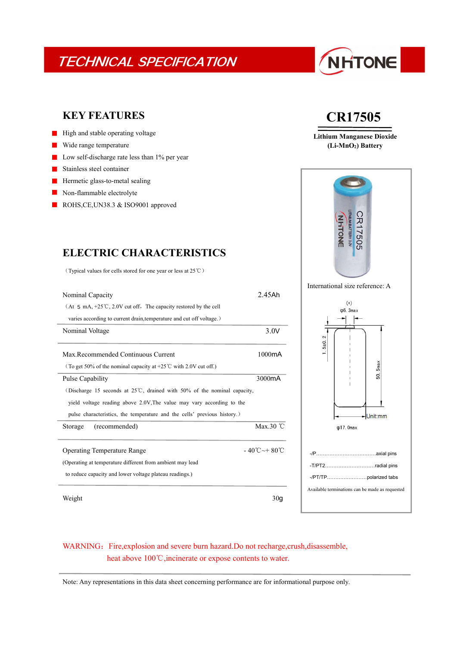## TECHNICAL SPECIFICATION **TECHNICAL**

### **KEY FEATURES**

- $\blacksquare$  High and stable operating voltage
- Wide range temperature  $\blacksquare$
- Low self-discharge rate less than 1% per year
- Stainless steel container
- Hermetic glass-to-metal sealing  $\blacksquare$
- $\mathcal{L}_{\mathcal{A}}$ Non-flammable electrolyte
- ROHS,CE,UN38.3 & ISO9001 approved

# ELECTRIC CHARACTERISTICS

(Typical values for cells stored for one year or less at 25℃)

| Nominal Capacity                                                                                                    | 2.45Ah                                |                                                 |
|---------------------------------------------------------------------------------------------------------------------|---------------------------------------|-------------------------------------------------|
| (At $5 \text{ mA}$ , +25°C, 2.0V cut off, The capacity restored by the cell                                         |                                       | $(+)$<br>$\phi$ 6. 3max                         |
| varies according to current drain, temperature and cut off voltage.)                                                |                                       |                                                 |
| Nominal Voltage                                                                                                     | 3.0V                                  | $\sim$                                          |
| Max.Recommended Continuous Current<br>(To get 50% of the nominal capacity at +25 <sup>°</sup> C with 2.0V cut off.) | 1000mA                                | $5 + 0.$<br>÷<br>$5$ ma $x$                     |
| Pulse Capability                                                                                                    | 3000mA                                | 50.                                             |
| (Discharge 15 seconds at $25^{\circ}$ C, drained with 50% of the nominal capacity,                                  |                                       |                                                 |
| yield voltage reading above 2.0V. The value may vary according to the                                               |                                       |                                                 |
| pulse characteristics, the temperature and the cells' previous history.)                                            |                                       | Unit:mm                                         |
| Storage<br>(recommended)                                                                                            | Max.30 $°C$                           | $\phi$ 17. Omax                                 |
| <b>Operating Temperature Range</b>                                                                                  | $-40^{\circ}$ C ~ + 80 <sup>°</sup> C |                                                 |
| (Operating at temperature different from ambient may lead                                                           |                                       | -T/PT2radial pins                               |
| to reduce capacity and lower voltage plateau readings.)                                                             |                                       |                                                 |
| Weight                                                                                                              | 30 <sub>g</sub>                       | Available terminations can be made as requested |

### **CR17505**

**Lithium Manganese Dioxide (Li-MnO2) Battery**





### WARNING: Fire, explosion and severe burn hazard.Do not recharge, crush, disassemble, heat above 100℃, incinerate or expose contents to water.

Note: Any representations in this data sheet concerning performance are for informational purpose only.